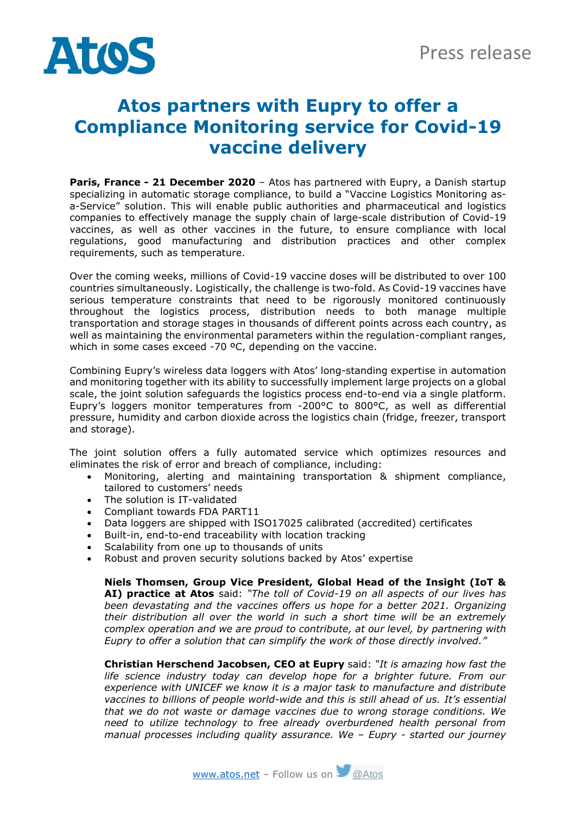

## **Atos partners with Eupry to offer a Compliance Monitoring service for Covid-19 vaccine delivery**

**Paris, France - 21 December 2020** – Atos has partnered with Eupry, a Danish startup specializing in automatic storage compliance, to build a "Vaccine Logistics Monitoring asa-Service" solution. This will enable public authorities and pharmaceutical and logistics companies to effectively manage the supply chain of large-scale distribution of Covid-19 vaccines, as well as other vaccines in the future, to ensure compliance with local regulations, good manufacturing and distribution practices and other complex requirements, such as temperature.

Over the coming weeks, millions of Covid-19 vaccine doses will be distributed to over 100 countries simultaneously. Logistically, the challenge is two-fold. As Covid-19 vaccines have serious temperature constraints that need to be rigorously monitored continuously throughout the logistics process, distribution needs to both manage multiple transportation and storage stages in thousands of different points across each country, as well as maintaining the environmental parameters within the regulation-compliant ranges, which in some cases exceed -70 °C, depending on the vaccine.

Combining Eupry's wireless data loggers with Atos' long-standing expertise in automation and monitoring together with its ability to successfully implement large projects on a global scale, the joint solution safeguards the logistics process end-to-end via a single platform. Eupry's loggers monitor temperatures from -200°C to 800°C, as well as differential pressure, humidity and carbon dioxide across the logistics chain (fridge, freezer, transport and storage).

The joint solution offers a fully automated service which optimizes resources and eliminates the risk of error and breach of compliance, including:

- Monitoring, alerting and maintaining transportation & shipment compliance, tailored to customers' needs
- The solution is IT-validated
- Compliant towards FDA PART11
- Data loggers are shipped with ISO17025 calibrated (accredited) certificates
- Built-in, end-to-end traceability with location tracking
- Scalability from one up to thousands of units<br>• Robust and proven security solutions backed
- Robust and proven security solutions backed by Atos' expertise

**Niels Thomsen, Group Vice President, Global Head of the Insight (IoT & AI) practice at Atos** said: *"The toll of Covid-19 on all aspects of our lives has been devastating and the vaccines offers us hope for a better 2021. Organizing their distribution all over the world in such a short time will be an extremely complex operation and we are proud to contribute, at our level, by partnering with Eupry to offer a solution that can simplify the work of those directly involved."*

**Christian Herschend Jacobsen, CEO at Eupry** said: *"It is amazing how fast the life science industry today can develop hope for a brighter future. From our experience with UNICEF we know it is a major task to manufacture and distribute vaccines to billions of people world-wide and this is still ahead of us. It's essential that we do not waste or damage vaccines due to wrong storage conditions. We need to utilize technology to free already overburdened health personal from manual processes including quality assurance. We – Eupry - started our journey*